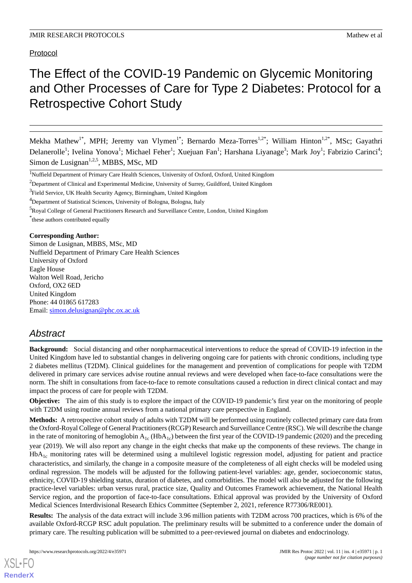Protocol

# The Effect of the COVID-19 Pandemic on Glycemic Monitoring and Other Processes of Care for Type 2 Diabetes: Protocol for a Retrospective Cohort Study

Mekha Mathew<sup>1\*</sup>, MPH; Jeremy van Vlymen<sup>1\*</sup>; Bernardo Meza-Torres<sup>1,2\*</sup>; William Hinton<sup>1,2\*</sup>, MSc; Gayathri Delanerolle<sup>1</sup>; Ivelina Yonova<sup>1</sup>; Michael Feher<sup>1</sup>; Xuejuan Fan<sup>1</sup>; Harshana Liyanage<sup>3</sup>; Mark Joy<sup>1</sup>; Fabrizio Carinci<sup>4</sup>; Simon de Lusignan<sup>1,2,5</sup>, MBBS, MSc, MD

<sup>4</sup>Department of Statistical Sciences, University of Bologna, Bologna, Italy

<sup>5</sup>Royal College of General Practitioners Research and Surveillance Centre, London, United Kingdom

\* these authors contributed equally

#### **Corresponding Author:**

Simon de Lusignan, MBBS, MSc, MD Nuffield Department of Primary Care Health Sciences University of Oxford Eagle House Walton Well Road, Jericho Oxford, OX2 6ED United Kingdom Phone: 44 01865 617283 Email: [simon.delusignan@phc.ox.ac.uk](mailto:simon.delusignan@phc.ox.ac.uk)

# *Abstract*

**Background:** Social distancing and other nonpharmaceutical interventions to reduce the spread of COVID-19 infection in the United Kingdom have led to substantial changes in delivering ongoing care for patients with chronic conditions, including type 2 diabetes mellitus (T2DM). Clinical guidelines for the management and prevention of complications for people with T2DM delivered in primary care services advise routine annual reviews and were developed when face-to-face consultations were the norm. The shift in consultations from face-to-face to remote consultations caused a reduction in direct clinical contact and may impact the process of care for people with T2DM.

**Objective:** The aim of this study is to explore the impact of the COVID-19 pandemic's first year on the monitoring of people with T2DM using routine annual reviews from a national primary care perspective in England.

**Methods:** A retrospective cohort study of adults with T2DM will be performed using routinely collected primary care data from the Oxford-Royal College of General Practitioners (RCGP) Research and Surveillance Centre (RSC). We will describe the change in the rate of monitoring of hemoglobin  $A_{1c}$  (Hb $A_{1c}$ ) between the first year of the COVID-19 pandemic (2020) and the preceding year (2019). We will also report any change in the eight checks that make up the components of these reviews. The change in  $HbA<sub>1c</sub>$  monitoring rates will be determined using a multilevel logistic regression model, adjusting for patient and practice characteristics, and similarly, the change in a composite measure of the completeness of all eight checks will be modeled using ordinal regression. The models will be adjusted for the following patient-level variables: age, gender, socioeconomic status, ethnicity, COVID-19 shielding status, duration of diabetes, and comorbidities. The model will also be adjusted for the following practice-level variables: urban versus rural, practice size, Quality and Outcomes Framework achievement, the National Health Service region, and the proportion of face-to-face consultations. Ethical approval was provided by the University of Oxford Medical Sciences Interdivisional Research Ethics Committee (September 2, 2021, reference R77306/RE001).

**Results:** The analysis of the data extract will include 3.96 million patients with T2DM across 700 practices, which is 6% of the available Oxford-RCGP RSC adult population. The preliminary results will be submitted to a conference under the domain of primary care. The resulting publication will be submitted to a peer-reviewed journal on diabetes and endocrinology.

[XSL](http://www.w3.org/Style/XSL)•FO **[RenderX](http://www.renderx.com/)**

<sup>&</sup>lt;sup>1</sup>Nuffield Department of Primary Care Health Sciences, University of Oxford, Oxford, United Kingdom

<sup>&</sup>lt;sup>2</sup>Department of Clinical and Experimental Medicine, University of Surrey, Guildford, United Kingdom

<sup>&</sup>lt;sup>3</sup>Field Service, UK Health Security Agency, Birmingham, United Kingdom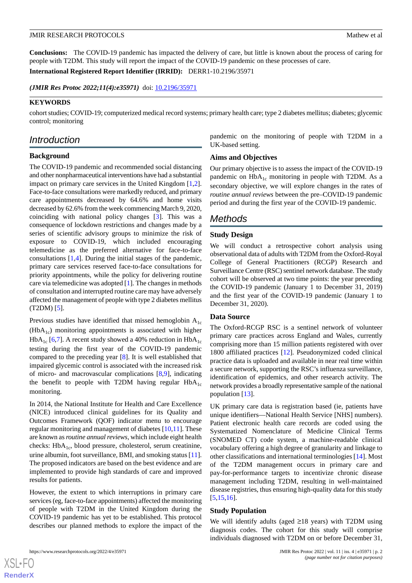#### JMIR RESEARCH PROTOCOLS **Superior and Secure 2012** and Security 2013 and Mathew et al.

**Conclusions:** The COVID-19 pandemic has impacted the delivery of care, but little is known about the process of caring for people with T2DM. This study will report the impact of the COVID-19 pandemic on these processes of care.

**International Registered Report Identifier (IRRID):** DERR1-10.2196/35971

*(JMIR Res Protoc 2022;11(4):e35971)* doi:  $10.2196/35971$ 

#### **KEYWORDS**

cohort studies; COVID-19; computerized medical record systems; primary health care; type 2 diabetes mellitus; diabetes; glycemic control; monitoring

# *Introduction*

# **Background**

The COVID-19 pandemic and recommended social distancing and other nonpharmaceutical interventions have had a substantial impact on primary care services in the United Kingdom [\[1](#page-3-0),[2\]](#page-3-1). Face-to-face consultations were markedly reduced, and primary care appointments decreased by 64.6% and home visits decreased by 62.6% from the week commencing March 9, 2020, coinciding with national policy changes [\[3](#page-3-2)]. This was a consequence of lockdown restrictions and changes made by a series of scientific advisory groups to minimize the risk of exposure to COVID-19, which included encouraging telemedicine as the preferred alternative for face-to-face consultations [[1,](#page-3-0)[4](#page-3-3)]. During the initial stages of the pandemic, primary care services reserved face-to-face consultations for priority appointments, while the policy for delivering routine care via telemedicine was adopted [\[1](#page-3-0)]. The changes in methods of consultation and interrupted routine care may have adversely affected the management of people with type 2 diabetes mellitus (T2DM) [\[5](#page-3-4)].

Previous studies have identified that missed hemoglobin  $A_{1c}$  $(HbA<sub>1c</sub>)$  monitoring appointments is associated with higher  $HbA_{1c}$  [\[6](#page-4-0),[7\]](#page-4-1). A recent study showed a 40% reduction in  $HbA_{1c}$ testing during the first year of the COVID-19 pandemic compared to the preceding year [[8\]](#page-4-2). It is well established that impaired glycemic control is associated with the increased risk of micro- and macrovascular complications [\[8](#page-4-2),[9\]](#page-4-3), indicating the benefit to people with T2DM having regular  $HbA_{1c}$ monitoring.

In 2014, the National Institute for Health and Care Excellence (NICE) introduced clinical guidelines for its Quality and Outcomes Framework (QOF) indicator menu to encourage regular monitoring and management of diabetes [\[10](#page-4-4),[11\]](#page-4-5). These are known as *routine annual reviews*, which include eight health checks:  $HbA_{1c}$ , blood pressure, cholesterol, serum creatinine, urine albumin, foot surveillance, BMI, and smoking status [[11\]](#page-4-5). The proposed indicators are based on the best evidence and are implemented to provide high standards of care and improved results for patients.

However, the extent to which interruptions in primary care services (eg, face-to-face appointments) affected the monitoring of people with T2DM in the United Kingdom during the COVID-19 pandemic has yet to be established. This protocol describes our planned methods to explore the impact of the

[XSL](http://www.w3.org/Style/XSL)•FO **[RenderX](http://www.renderx.com/)**

pandemic on the monitoring of people with T2DM in a UK-based setting.

#### **Aims and Objectives**

Our primary objective is to assess the impact of the COVID-19 pandemic on  $HbA_{1c}$  monitoring in people with T2DM. As a secondary objective, we will explore changes in the rates of *routine annual reviews* between the pre–COVID-19 pandemic period and during the first year of the COVID-19 pandemic.

# *Methods*

#### **Study Design**

We will conduct a retrospective cohort analysis using observational data of adults with T2DM from the Oxford-Royal College of General Practitioners (RCGP) Research and Surveillance Centre (RSC) sentinel network database. The study cohort will be observed at two time points: the year preceding the COVID-19 pandemic (January 1 to December 31, 2019) and the first year of the COVID-19 pandemic (January 1 to December 31, 2020).

#### **Data Source**

The Oxford-RCGP RSC is a sentinel network of volunteer primary care practices across England and Wales, currently comprising more than 15 million patients registered with over 1800 affiliated practices [\[12](#page-4-6)]. Pseudonymized coded clinical practice data is uploaded and available in near real time within a secure network, supporting the RSC's influenza surveillance, identification of epidemics, and other research activity. The network provides a broadly representative sample of the national population [\[13](#page-4-7)].

UK primary care data is registration based (ie, patients have unique identifiers—National Health Service [NHS] numbers). Patient electronic health care records are coded using the Systematized Nomenclature of Medicine Clinical Terms (SNOMED CT) code system, a machine-readable clinical vocabulary offering a high degree of granularity and linkage to other classifications and international terminologies [\[14](#page-4-8)]. Most of the T2DM management occurs in primary care and pay-for-performance targets to incentivize chronic disease management including T2DM, resulting in well-maintained disease registries, thus ensuring high-quality data for this study [[5](#page-3-4)[,15](#page-4-9),[16\]](#page-4-10).

#### **Study Population**

We will identify adults (aged ≥18 years) with T2DM using diagnosis codes. The cohort for this study will comprise individuals diagnosed with T2DM on or before December 31,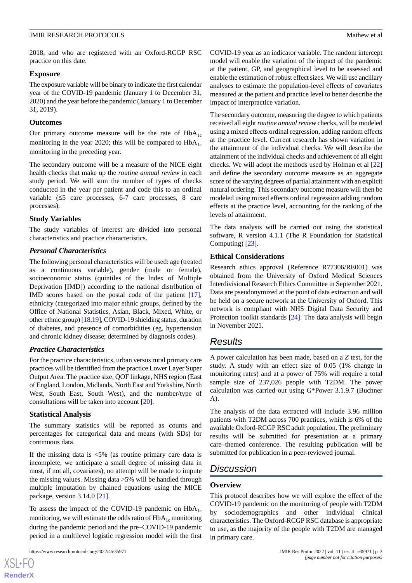#### JMIR RESEARCH PROTOCOLS **Superior and Secure 2012** and Security 2013 and Mathew et al.

2018, and who are registered with an Oxford-RCGP RSC practice on this date.

## **Exposure**

The exposure variable will be binary to indicate the first calendar year of the COVID-19 pandemic (January 1 to December 31, 2020) and the year before the pandemic (January 1 to December 31, 2019).

## **Outcomes**

Our primary outcome measure will be the rate of  $HbA_{1c}$ monitoring in the year 2020; this will be compared to  $HbA_{1c}$ monitoring in the preceding year.

The secondary outcome will be a measure of the NICE eight health checks that make up the *routine annual review* in each study period. We will sum the number of types of checks conducted in the year per patient and code this to an ordinal variable (≤5 care processes, 6-7 care processes, 8 care processes).

# **Study Variables**

The study variables of interest are divided into personal characteristics and practice characteristics.

# *Personal Characteristics*

The following personal characteristics will be used: age (treated as a continuous variable), gender (male or female), socioeconomic status (quintiles of the Index of Multiple Deprivation [IMD]) according to the national distribution of IMD scores based on the postal code of the patient [[17\]](#page-4-11), ethnicity (categorized into major ethnic groups, defined by the Office of National Statistics, Asian, Black, Mixed, White, or other ethnic group) [[18,](#page-4-12)[19\]](#page-4-13), COVID-19 shielding status, duration of diabetes, and presence of comorbidities (eg, hypertension and chronic kidney disease; determined by diagnosis codes).

# *Practice Characteristics*

For the practice characteristics, urban versus rural primary care practices will be identified from the practice Lower Layer Super Output Area. The practice size, QOF linkage, NHS region (East of England, London, Midlands, North East and Yorkshire, North West, South East, South West), and the number/type of consultations will be taken into account [[20\]](#page-4-14).

# **Statistical Analysis**

The summary statistics will be reported as counts and percentages for categorical data and means (with SDs) for continuous data.

If the missing data is  $\langle 5\%$  (as routine primary care data is incomplete, we anticipate a small degree of missing data in most, if not all, covariates), no attempt will be made to impute the missing values. Missing data >5% will be handled through multiple imputation by chained equations using the MICE package, version 3.14.0 [[21\]](#page-4-15).

To assess the impact of the COVID-19 pandemic on  $HbA_{1c}$ monitoring, we will estimate the odds ratio of  $HbA_{1c}$  monitoring during the pandemic period and the pre–COVID-19 pandemic period in a multilevel logistic regression model with the first

COVID-19 year as an indicator variable. The random intercept model will enable the variation of the impact of the pandemic at the patient, GP, and geographical level to be assessed and enable the estimation of robust effect sizes. We will use ancillary analyses to estimate the population-level effects of covariates measured at the patient and practice level to better describe the impact of interpractice variation.

The secondary outcome, measuring the degree to which patients received all eight *routine annual review* checks, will be modeled using a mixed effects ordinal regression, adding random effects at the practice level. Current research has shown variation in the attainment of the individual checks. We will describe the attainment of the individual checks and achievement of all eight checks. We will adopt the methods used by Holman et al [\[22](#page-4-16)] and define the secondary outcome measure as an aggregate score of the varying degrees of partial attainment with an explicit natural ordering. This secondary outcome measure will then be modeled using mixed effects ordinal regression adding random effects at the practice level, accounting for the ranking of the levels of attainment.

The data analysis will be carried out using the statistical software, R version 4.1.1 (The R Foundation for Statistical Computing) [[23\]](#page-4-17).

# **Ethical Considerations**

Research ethics approval (Reference R77306/RE001) was obtained from the University of Oxford Medical Sciences Interdivisional Research Ethics Committee in September 2021. Data are pseudonymized at the point of data extraction and will be held on a secure network at the University of Oxford. This network is compliant with NHS Digital Data Security and Protection toolkit standards [[24\]](#page-4-18). The data analysis will begin in November 2021.

# *Results*

A power calculation has been made, based on a *Z* test, for the study. A study with an effect size of 0.05 (1% change in monitoring rates) and at a power of 75% will require a total sample size of 237,026 people with T2DM. The power calculation was carried out using G\*Power 3.1.9.7 (Buchner A).

The analysis of the data extracted will include 3.96 million patients with T2DM across 700 practices, which is 6% of the available Oxford-RCGP RSC adult population. The preliminary results will be submitted for presentation at a primary care–themed conference. The resulting publication will be submitted for publication in a peer-reviewed journal.

# *Discussion*

# **Overview**

This protocol describes how we will explore the effect of the COVID-19 pandemic on the monitoring of people with T2DM by sociodemographics and other individual clinical characteristics. The Oxford-RCGP RSC database is appropriate to use, as the majority of the people with T2DM are managed in primary care.

[XSL](http://www.w3.org/Style/XSL)•FO **[RenderX](http://www.renderx.com/)**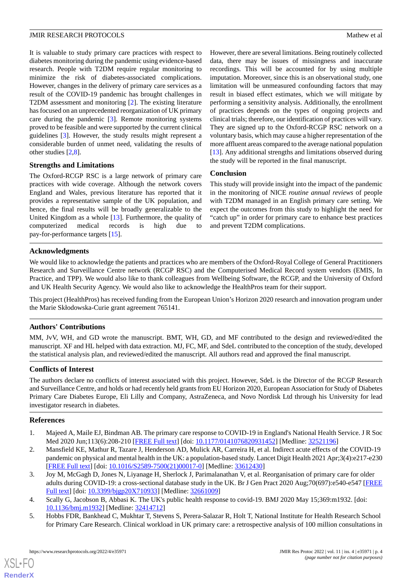#### JMIR RESEARCH PROTOCOLS **Superior and Secure 2012** and Security 2013 and Mathew et al.

It is valuable to study primary care practices with respect to diabetes monitoring during the pandemic using evidence-based research. People with T2DM require regular monitoring to minimize the risk of diabetes-associated complications. However, changes in the delivery of primary care services as a result of the COVID-19 pandemic has brought challenges in T2DM assessment and monitoring [\[2\]](#page-3-1). The existing literature has focused on an unprecedented reorganization of UK primary care during the pandemic [\[3](#page-3-2)]. Remote monitoring systems proved to be feasible and were supported by the current clinical guidelines [[3\]](#page-3-2). However, the study results might represent a considerable burden of unmet need, validating the results of other studies [\[2](#page-3-1),[8\]](#page-4-2).

# **Strengths and Limitations**

The Oxford-RCGP RSC is a large network of primary care practices with wide coverage. Although the network covers England and Wales, previous literature has reported that it provides a representative sample of the UK population, and hence, the final results will be broadly generalizable to the United Kingdom as a whole [\[13](#page-4-7)]. Furthermore, the quality of computerized medical records is high due to pay-for-performance targets [\[15](#page-4-9)].

However, there are several limitations. Being routinely collected data, there may be issues of missingness and inaccurate recordings. This will be accounted for by using multiple imputation. Moreover, since this is an observational study, one limitation will be unmeasured confounding factors that may result in biased effect estimates, which we will mitigate by performing a sensitivity analysis. Additionally, the enrollment of practices depends on the types of ongoing projects and clinical trials; therefore, our identification of practices will vary. They are signed up to the Oxford-RCGP RSC network on a voluntary basis, which may cause a higher representation of the more affluent areas compared to the average national population [[13\]](#page-4-7). Any additional strengths and limitations observed during the study will be reported in the final manuscript.

# **Conclusion**

This study will provide insight into the impact of the pandemic in the monitoring of NICE *routine annual reviews* of people with T2DM managed in an English primary care setting. We expect the outcomes from this study to highlight the need for "catch up" in order for primary care to enhance best practices and prevent T2DM complications.

# **Acknowledgments**

We would like to acknowledge the patients and practices who are members of the Oxford-Royal College of General Practitioners Research and Surveillance Centre network (RCGP RSC) and the Computerised Medical Record system vendors (EMIS, In Practice, and TPP). We would also like to thank colleagues from Wellbeing Software, the RCGP, and the University of Oxford and UK Health Security Agency. We would also like to acknowledge the HealthPros team for their support.

This project (HealthPros) has received funding from the European Union's Horizon 2020 research and innovation program under the Marie Skłodowska-Curie grant agreement 765141.

## **Authors' Contributions**

MM, JvV, WH, and GD wrote the manuscript. BMT, WH, GD, and MF contributed to the design and reviewed/edited the manuscript. XF and HL helped with data extraction. MJ, FC, MF, and SdeL contributed to the conception of the study, developed the statistical analysis plan, and reviewed/edited the manuscript. All authors read and approved the final manuscript.

## **Conflicts of Interest**

<span id="page-3-0"></span>The authors declare no conflicts of interest associated with this project. However, SdeL is the Director of the RCGP Research and Surveillance Centre, and holds or had recently held grants from EU Horizon 2020, European Association for Study of Diabetes Primary Care Diabetes Europe, Eli Lilly and Company, AstraZeneca, and Novo Nordisk Ltd through his University for lead investigator research in diabetes.

# <span id="page-3-1"></span>**References**

[XSL](http://www.w3.org/Style/XSL)•FO **[RenderX](http://www.renderx.com/)**

- <span id="page-3-2"></span>1. Majeed A, Maile EJ, Bindman AB. The primary care response to COVID-19 in England's National Health Service. J R Soc Med 2020 Jun;113(6):208-210 [\[FREE Full text\]](https://journals.sagepub.com/doi/10.1177/0141076820931452?url_ver=Z39.88-2003&rfr_id=ori:rid:crossref.org&rfr_dat=cr_pub%3dpubmed) [doi: [10.1177/0141076820931452](http://dx.doi.org/10.1177/0141076820931452)] [Medline: [32521196\]](http://www.ncbi.nlm.nih.gov/entrez/query.fcgi?cmd=Retrieve&db=PubMed&list_uids=32521196&dopt=Abstract)
- <span id="page-3-3"></span>2. Mansfield KE, Mathur R, Tazare J, Henderson AD, Mulick AR, Carreira H, et al. Indirect acute effects of the COVID-19 pandemic on physical and mental health in the UK: a population-based study. Lancet Digit Health 2021 Apr;3(4):e217-e230 [[FREE Full text](https://linkinghub.elsevier.com/retrieve/pii/S2589-7500(21)00017-0)] [doi: [10.1016/S2589-7500\(21\)00017-0\]](http://dx.doi.org/10.1016/S2589-7500(21)00017-0) [Medline: [33612430](http://www.ncbi.nlm.nih.gov/entrez/query.fcgi?cmd=Retrieve&db=PubMed&list_uids=33612430&dopt=Abstract)]
- <span id="page-3-4"></span>3. Joy M, McGagh D, Jones N, Liyanage H, Sherlock J, Parimalanathan V, et al. Reorganisation of primary care for older adults during COVID-19: a cross-sectional database study in the UK. Br J Gen Pract 2020 Aug;70(697):e540-e547 [\[FREE](https://bjgp.org/cgi/pmidlookup?view=long&pmid=32661009) [Full text\]](https://bjgp.org/cgi/pmidlookup?view=long&pmid=32661009) [doi: [10.3399/bjgp20X710933\]](http://dx.doi.org/10.3399/bjgp20X710933) [Medline: [32661009](http://www.ncbi.nlm.nih.gov/entrez/query.fcgi?cmd=Retrieve&db=PubMed&list_uids=32661009&dopt=Abstract)]
- 4. Scally G, Jacobson B, Abbasi K. The UK's public health response to covid-19. BMJ 2020 May 15;369:m1932. [doi: [10.1136/bmj.m1932\]](http://dx.doi.org/10.1136/bmj.m1932) [Medline: [32414712](http://www.ncbi.nlm.nih.gov/entrez/query.fcgi?cmd=Retrieve&db=PubMed&list_uids=32414712&dopt=Abstract)]
- 5. Hobbs FDR, Bankhead C, Mukhtar T, Stevens S, Perera-Salazar R, Holt T, National Institute for Health Research School for Primary Care Research. Clinical workload in UK primary care: a retrospective analysis of 100 million consultations in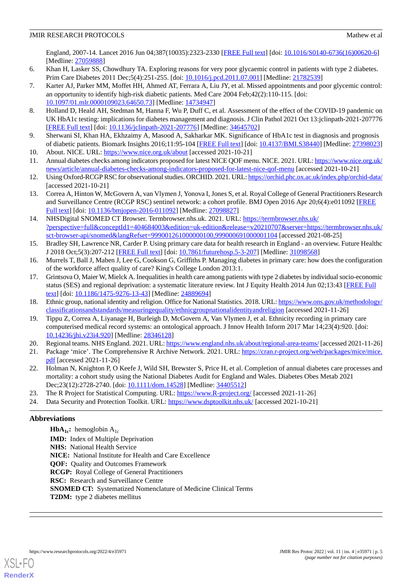# **JMIR RESEARCH PROTOCOLS** Mathew et al.

England, 2007-14. Lancet 2016 Jun 04;387(10035):2323-2330 [\[FREE Full text\]](https://linkinghub.elsevier.com/retrieve/pii/S0140-6736(16)00620-6) [doi: [10.1016/S0140-6736\(16\)00620-6\]](http://dx.doi.org/10.1016/S0140-6736(16)00620-6) [Medline: [27059888](http://www.ncbi.nlm.nih.gov/entrez/query.fcgi?cmd=Retrieve&db=PubMed&list_uids=27059888&dopt=Abstract)]

- <span id="page-4-1"></span><span id="page-4-0"></span>6. Khan H, Lasker SS, Chowdhury TA. Exploring reasons for very poor glycaemic control in patients with type 2 diabetes. Prim Care Diabetes 2011 Dec;5(4):251-255. [doi: [10.1016/j.pcd.2011.07.001](http://dx.doi.org/10.1016/j.pcd.2011.07.001)] [Medline: [21782539](http://www.ncbi.nlm.nih.gov/entrez/query.fcgi?cmd=Retrieve&db=PubMed&list_uids=21782539&dopt=Abstract)]
- 7. Karter AJ, Parker MM, Moffet HH, Ahmed AT, Ferrara A, Liu JY, et al. Missed appointments and poor glycemic control: an opportunity to identify high-risk diabetic patients. Med Care 2004 Feb;42(2):110-115. [doi: [10.1097/01.mlr.0000109023.64650.73](http://dx.doi.org/10.1097/01.mlr.0000109023.64650.73)] [Medline: [14734947\]](http://www.ncbi.nlm.nih.gov/entrez/query.fcgi?cmd=Retrieve&db=PubMed&list_uids=14734947&dopt=Abstract)
- <span id="page-4-2"></span>8. Holland D, Heald AH, Stedman M, Hanna F, Wu P, Duff C, et al. Assessment of the effect of the COVID-19 pandemic on UK HbA1c testing: implications for diabetes management and diagnosis. J Clin Pathol 2021 Oct 13:jclinpath-2021-207776 [[FREE Full text](http://europepmc.org/abstract/MED/34645702)] [doi: [10.1136/jclinpath-2021-207776](http://dx.doi.org/10.1136/jclinpath-2021-207776)] [Medline: [34645702](http://www.ncbi.nlm.nih.gov/entrez/query.fcgi?cmd=Retrieve&db=PubMed&list_uids=34645702&dopt=Abstract)]
- <span id="page-4-4"></span><span id="page-4-3"></span>9. Sherwani SI, Khan HA, Ekhzaimy A, Masood A, Sakharkar MK. Significance of HbA1c test in diagnosis and prognosis of diabetic patients. Biomark Insights 2016;11:95-104 [[FREE Full text\]](https://journals.sagepub.com/doi/10.4137/BMI.S38440?url_ver=Z39.88-2003&rfr_id=ori:rid:crossref.org&rfr_dat=cr_pub%3dpubmed) [doi: [10.4137/BMI.S38440](http://dx.doi.org/10.4137/BMI.S38440)] [Medline: [27398023](http://www.ncbi.nlm.nih.gov/entrez/query.fcgi?cmd=Retrieve&db=PubMed&list_uids=27398023&dopt=Abstract)]
- <span id="page-4-5"></span>10. About. NICE. URL:<https://www.nice.org.uk/about> [accessed 2021-10-21]
- <span id="page-4-6"></span>11. Annual diabetes checks among indicators proposed for latest NICE QOF menu. NICE. 2021. URL: [https://www.nice.org.uk/](https://www.nice.org.uk/news/article/annual-diabetes-checks-among-indicators-proposed-for-latest-nice-qof-menu) [news/article/annual-diabetes-checks-among-indicators-proposed-for-latest-nice-qof-menu](https://www.nice.org.uk/news/article/annual-diabetes-checks-among-indicators-proposed-for-latest-nice-qof-menu) [accessed 2021-10-21]
- <span id="page-4-7"></span>12. Using Oxford-RCGP RSC for observational studies. ORCHID. 2021. URL:<https://orchid.phc.ox.ac.uk/index.php/orchid-data/> [accessed 2021-10-21]
- <span id="page-4-8"></span>13. Correa A, Hinton W, McGovern A, van Vlymen J, Yonova I, Jones S, et al. Royal College of General Practitioners Research and Surveillance Centre (RCGP RSC) sentinel network: a cohort profile. BMJ Open 2016 Apr 20;6(4):e011092 [[FREE](https://bmjopen.bmj.com/lookup/pmidlookup?view=long&pmid=27098827) [Full text\]](https://bmjopen.bmj.com/lookup/pmidlookup?view=long&pmid=27098827) [doi: [10.1136/bmjopen-2016-011092](http://dx.doi.org/10.1136/bmjopen-2016-011092)] [Medline: [27098827\]](http://www.ncbi.nlm.nih.gov/entrez/query.fcgi?cmd=Retrieve&db=PubMed&list_uids=27098827&dopt=Abstract)
- <span id="page-4-9"></span>14. NHSDigital SNOMED CT Browser. Termbrowser.nhs.uk. 2021. URL: [https://termbrowser.nhs.uk/](https://termbrowser.nhs.uk/?perspective=full&conceptId1=404684003&edition=uk-edition&release=v20210707&server=https://termbrowser.nhs.uk/sct-browser-api/snomed&langRefset=999001261000000100,999000691000001104) [?perspective=full&conceptId1=404684003&edition=uk-edition&release=v20210707&server=https://termbrowser.nhs.uk/](https://termbrowser.nhs.uk/?perspective=full&conceptId1=404684003&edition=uk-edition&release=v20210707&server=https://termbrowser.nhs.uk/sct-browser-api/snomed&langRefset=999001261000000100,999000691000001104) [sct-browser-api/snomed&langRefset=999001261000000100,999000691000001104](https://termbrowser.nhs.uk/?perspective=full&conceptId1=404684003&edition=uk-edition&release=v20210707&server=https://termbrowser.nhs.uk/sct-browser-api/snomed&langRefset=999001261000000100,999000691000001104) [accessed 2021-08-25]
- <span id="page-4-11"></span><span id="page-4-10"></span>15. Bradley SH, Lawrence NR, Carder P. Using primary care data for health research in England - an overview. Future Healthc J 2018 Oct;5(3):207-212 [\[FREE Full text\]](http://europepmc.org/abstract/MED/31098568) [doi: [10.7861/futurehosp.5-3-207](http://dx.doi.org/10.7861/futurehosp.5-3-207)] [Medline: [31098568\]](http://www.ncbi.nlm.nih.gov/entrez/query.fcgi?cmd=Retrieve&db=PubMed&list_uids=31098568&dopt=Abstract)
- 16. Murrels T, Ball J, Maben J, Lee G, Cookson G, Griffiths P. Managing diabetes in primary care: how does the configuration of the workforce affect quality of care? King's College London 2013:1.
- <span id="page-4-13"></span><span id="page-4-12"></span>17. Grintsova O, Maier W, Mielck A. Inequalities in health care among patients with type 2 diabetes by individual socio-economic status (SES) and regional deprivation: a systematic literature review. Int J Equity Health 2014 Jun 02;13:43 [\[FREE Full](https://equityhealthj.biomedcentral.com/articles/10.1186/1475-9276-13-43) [text](https://equityhealthj.biomedcentral.com/articles/10.1186/1475-9276-13-43)] [doi: [10.1186/1475-9276-13-43\]](http://dx.doi.org/10.1186/1475-9276-13-43) [Medline: [24889694\]](http://www.ncbi.nlm.nih.gov/entrez/query.fcgi?cmd=Retrieve&db=PubMed&list_uids=24889694&dopt=Abstract)
- <span id="page-4-14"></span>18. Ethnic group, national identity and religion. Office for National Statistics. 2018. URL: [https://www.ons.gov.uk/methodology/](https://www.ons.gov.uk/methodology/classificationsandstandards/measuringequality/ethnicgroupnationalidentityandreligion) [classificationsandstandards/measuringequality/ethnicgroupnationalidentityandreligion](https://www.ons.gov.uk/methodology/classificationsandstandards/measuringequality/ethnicgroupnationalidentityandreligion) [accessed 2021-11-26]
- <span id="page-4-15"></span>19. Tippu Z, Correa A, Liyanage H, Burleigh D, McGovern A, Van Vlymen J, et al. Ethnicity recording in primary care computerised medical record systems: an ontological approach. J Innov Health Inform 2017 Mar 14;23(4):920. [doi: [10.14236/jhi.v23i4.920](http://dx.doi.org/10.14236/jhi.v23i4.920)] [Medline: [28346128\]](http://www.ncbi.nlm.nih.gov/entrez/query.fcgi?cmd=Retrieve&db=PubMed&list_uids=28346128&dopt=Abstract)
- <span id="page-4-16"></span>20. Regional teams. NHS England. 2021. URL:<https://www.england.nhs.uk/about/regional-area-teams/> [accessed 2021-11-26]
- <span id="page-4-17"></span>21. Package 'mice'. The Comprehensive R Archive Network. 2021. URL: [https://cran.r-project.org/web/packages/mice/mice.](https://cran.r-project.org/web/packages/mice/mice.pdf) [pdf](https://cran.r-project.org/web/packages/mice/mice.pdf) [accessed 2021-11-26]
- <span id="page-4-18"></span>22. Holman N, Knighton P, O Keefe J, Wild SH, Brewster S, Price H, et al. Completion of annual diabetes care processes and mortality: a cohort study using the National Diabetes Audit for England and Wales. Diabetes Obes Metab 2021 Dec;23(12):2728-2740. [doi: [10.1111/dom.14528](http://dx.doi.org/10.1111/dom.14528)] [Medline: [34405512\]](http://www.ncbi.nlm.nih.gov/entrez/query.fcgi?cmd=Retrieve&db=PubMed&list_uids=34405512&dopt=Abstract)
- 23. The R Project for Statistical Computing. URL: <https://www.R-project.org/> [accessed 2021-11-26]
- 24. Data Security and Protection Toolkit. URL:<https://www.dsptoolkit.nhs.uk/> [accessed 2021-10-21]

# **Abbreviations**

**HbA**<sub>1c</sub>**:** hemoglobin  $A_{1c}$ **IMD:** Index of Multiple Deprivation **NHS:** National Health Service **NICE:** National Institute for Health and Care Excellence **QOF:** Quality and Outcomes Framework **RCGP:** Royal College of General Practitioners **RSC:** Research and Surveillance Centre **SNOMED CT:** Systematized Nomenclature of Medicine Clinical Terms **T2DM:** type 2 diabetes mellitus